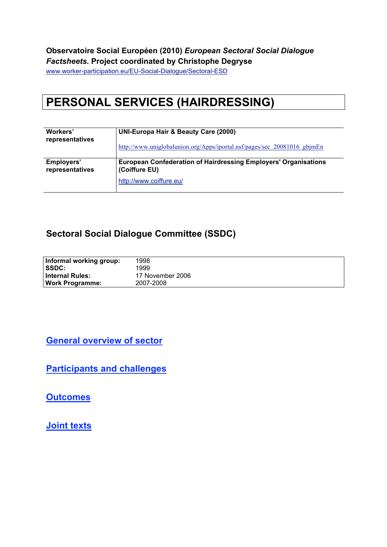#### **Observatoire Social Européen (2010)** *European Sectoral Social Dialogue Factsheets.* **Project coordinated by Christophe Degryse**

www.worker-participation.eu/EU-Social-Dialogue/Sectoral-ESD

# **PERSONAL SERVICES (HAIRDRESSING)**

| Workers'        | <b>UNI-Europa Hair &amp; Beauty Care (2000)</b>                          |  |  |
|-----------------|--------------------------------------------------------------------------|--|--|
| representatives | http://www.uniglobalunion.org/Apps/iportal.nsf/pages/sec 20081016 gbjmEn |  |  |
| Employers'      | <b>European Confederation of Hairdressing Employers' Organisations</b>   |  |  |
| representatives | (Coiffure EU)                                                            |  |  |
|                 | http://www.coiffure.eu/                                                  |  |  |

#### **Sectoral Social Dialogue Committee (SSDC)**

| Informal working group: | 1998             |
|-------------------------|------------------|
| SSDC:                   | 1999             |
| <b>Internal Rules:</b>  | 17 November 2006 |
| <b>Work Programme:</b>  | 2007-2008        |

**General overview of sector**

**Participants and challenges**

**Outcomes**

**Joint texts**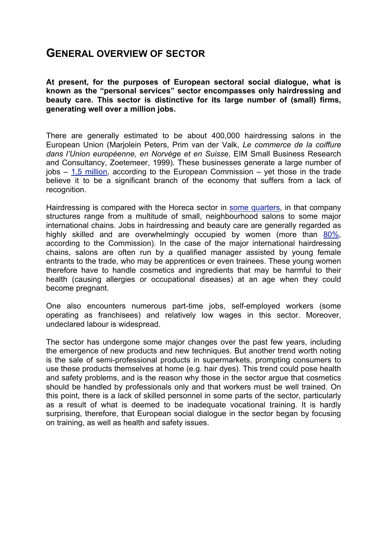#### **GENERAL OVERVIEW OF SECTOR**

**At present, for the purposes of European sectoral social dialogue, what is known as the "personal services" sector encompasses only hairdressing and beauty care. This sector is distinctive for its large number of (small) firms, generating well over a million jobs.**

There are generally estimated to be about 400,000 hairdressing salons in the European Union (Marjolein Peters, Prim van der Valk, *Le commerce de la coiffure dans l'Union européenne, en Norvège et en Suisse,* EIM Small Business Research and Consultancy, Zoetemeer, 1999). These businesses generate a large number of  $i$ obs  $-$  1,5 million, according to the European Commission  $-$  yet those in the trade believe it to be a significant branch of the economy that suffers from a lack of recognition.

Hairdressing is compared with the Horeca sector in some quarters, in that company structures range from a multitude of small, neighbourhood salons to some major international chains. Jobs in hairdressing and beauty care are generally regarded as highly skilled and are overwhelmingly occupied by women (more than 80%, according to the Commission). In the case of the major international hairdressing chains, salons are often run by a qualified manager assisted by young female entrants to the trade, who may be apprentices or even trainees. These young women therefore have to handle cosmetics and ingredients that may be harmful to their health (causing allergies or occupational diseases) at an age when they could become pregnant.

One also encounters numerous part-time jobs, self-employed workers (some operating as franchisees) and relatively low wages in this sector. Moreover, undeclared labour is widespread.

The sector has undergone some major changes over the past few years, including the emergence of new products and new techniques. But another trend worth noting is the sale of semi-professional products in supermarkets, prompting consumers to use these products themselves at home (e.g. hair dyes). This trend could pose health and safety problems, and is the reason why those in the sector argue that cosmetics should be handled by professionals only and that workers must be well trained. On this point, there is a lack of skilled personnel in some parts of the sector, particularly as a result of what is deemed to be inadequate vocational training. It is hardly surprising, therefore, that European social dialogue in the sector began by focusing on training, as well as health and safety issues.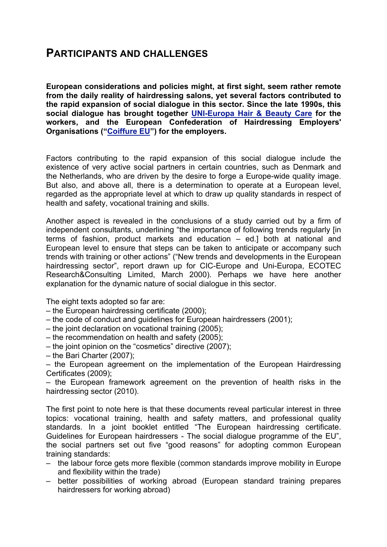## **PARTICIPANTS AND CHALLENGES**

**European considerations and policies might, at first sight, seem rather remote from the daily reality of hairdressing salons, yet several factors contributed to the rapid expansion of social dialogue in this sector. Since the late 1990s, this social dialogue has brought together UNI-Europa Hair & Beauty Care for the workers, and the European Confederation of Hairdressing Employers' Organisations ("Coiffure EU") for the employers.**

Factors contributing to the rapid expansion of this social dialogue include the existence of very active social partners in certain countries, such as Denmark and the Netherlands, who are driven by the desire to forge a Europe-wide quality image. But also, and above all, there is a determination to operate at a European level, regarded as the appropriate level at which to draw up quality standards in respect of health and safety, vocational training and skills.

Another aspect is revealed in the conclusions of a study carried out by a firm of independent consultants, underlining "the importance of following trends regularly [in terms of fashion, product markets and education – ed.] both at national and European level to ensure that steps can be taken to anticipate or accompany such trends with training or other actions" ("New trends and developments in the European hairdressing sector", report drawn up for CIC-Europe and Uni-Europa, ECOTEC Research&Consulting Limited, March 2000). Perhaps we have here another explanation for the dynamic nature of social dialogue in this sector.

The eight texts adopted so far are:

- the European hairdressing certificate (2000);
- the code of conduct and guidelines for European hairdressers (2001);
- the joint declaration on vocational training (2005);
- the recommendation on health and safety (2005);
- the joint opinion on the "cosmetics" directive (2007);
- the Bari Charter (2007);

– the European agreement on the implementation of the European Hairdressing Certificates (2009);

– the European framework agreement on the prevention of health risks in the hairdressing sector (2010).

The first point to note here is that these documents reveal particular interest in three topics: vocational training, health and safety matters, and professional quality standards. In a joint booklet entitled "The European hairdressing certificate. Guidelines for European hairdressers - The social dialogue programme of the EU", the social partners set out five "good reasons" for adopting common European training standards:

- the labour force gets more flexible (common standards improve mobility in Europe and flexibility within the trade)
- better possibilities of working abroad (European standard training prepares hairdressers for working abroad)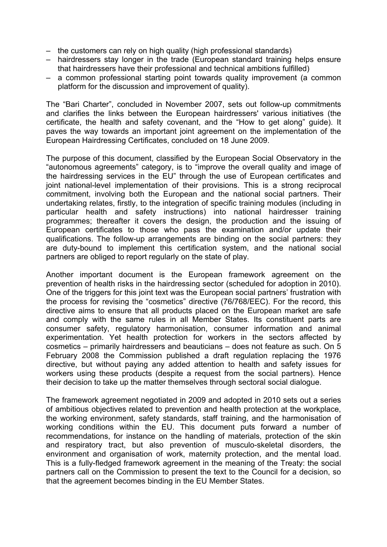- the customers can rely on high quality (high professional standards)
- hairdressers stay longer in the trade (European standard training helps ensure that hairdressers have their professional and technical ambitions fulfilled)
- a common professional starting point towards quality improvement (a common platform for the discussion and improvement of quality).

The "Bari Charter", concluded in November 2007, sets out follow-up commitments and clarifies the links between the European hairdressers' various initiatives (the certificate, the health and safety covenant, and the "How to get along" guide). It paves the way towards an important joint agreement on the implementation of the European Hairdressing Certificates, concluded on 18 June 2009.

The purpose of this document, classified by the European Social Observatory in the "autonomous agreements" category, is to "improve the overall quality and image of the hairdressing services in the EU" through the use of European certificates and joint national-level implementation of their provisions. This is a strong reciprocal commitment, involving both the European and the national social partners. Their undertaking relates, firstly, to the integration of specific training modules (including in particular health and safety instructions) into national hairdresser training programmes; thereafter it covers the design, the production and the issuing of European certificates to those who pass the examination and/or update their qualifications. The follow-up arrangements are binding on the social partners: they are duty-bound to implement this certification system, and the national social partners are obliged to report regularly on the state of play.

Another important document is the European framework agreement on the prevention of health risks in the hairdressing sector (scheduled for adoption in 2010). One of the triggers for this joint text was the European social partners' frustration with the process for revising the "cosmetics" directive (76/768/EEC). For the record, this directive aims to ensure that all products placed on the European market are safe and comply with the same rules in all Member States. Its constituent parts are consumer safety, regulatory harmonisation, consumer information and animal experimentation. Yet health protection for workers in the sectors affected by cosmetics – primarily hairdressers and beauticians – does not feature as such. On 5 February 2008 the Commission published a draft regulation replacing the 1976 directive, but without paying any added attention to health and safety issues for workers using these products (despite a request from the social partners). Hence their decision to take up the matter themselves through sectoral social dialogue.

The framework agreement negotiated in 2009 and adopted in 2010 sets out a series of ambitious objectives related to prevention and health protection at the workplace, the working environment, safety standards, staff training, and the harmonisation of working conditions within the EU. This document puts forward a number of recommendations, for instance on the handling of materials, protection of the skin and respiratory tract, but also prevention of musculo-skeletal disorders, the environment and organisation of work, maternity protection, and the mental load. This is a fully-fledged framework agreement in the meaning of the Treaty: the social partners call on the Commission to present the text to the Council for a decision, so that the agreement becomes binding in the EU Member States.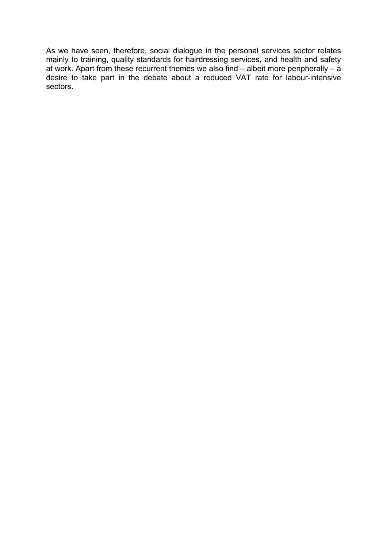As we have seen, therefore, social dialogue in the personal services sector relates mainly to training, quality standards for hairdressing services, and health and safety at work. Apart from these recurrent themes we also find – albeit more peripherally – a desire to take part in the debate about a reduced VAT rate for labour-intensive sectors.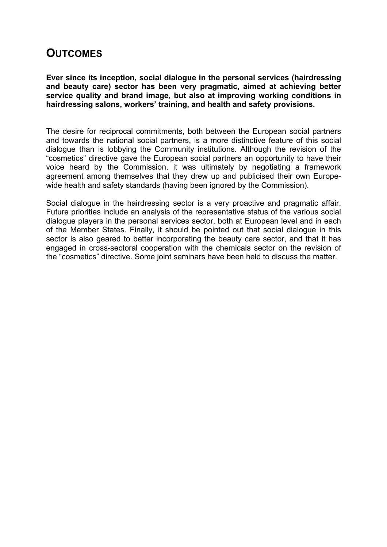## **OUTCOMES**

**Ever since its inception, social dialogue in the personal services (hairdressing and beauty care) sector has been very pragmatic, aimed at achieving better service quality and brand image, but also at improving working conditions in hairdressing salons, workers' training, and health and safety provisions.**

The desire for reciprocal commitments, both between the European social partners and towards the national social partners, is a more distinctive feature of this social dialogue than is lobbying the Community institutions. Although the revision of the "cosmetics" directive gave the European social partners an opportunity to have their voice heard by the Commission, it was ultimately by negotiating a framework agreement among themselves that they drew up and publicised their own Europewide health and safety standards (having been ignored by the Commission).

Social dialogue in the hairdressing sector is a very proactive and pragmatic affair. Future priorities include an analysis of the representative status of the various social dialogue players in the personal services sector, both at European level and in each of the Member States. Finally, it should be pointed out that social dialogue in this sector is also geared to better incorporating the beauty care sector, and that it has engaged in cross-sectoral cooperation with the chemicals sector on the revision of the "cosmetics" directive. Some joint seminars have been held to discuss the matter.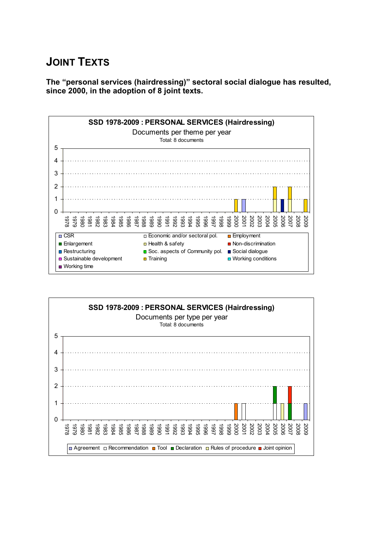## **JOINT TEXTS**

**The "personal services (hairdressing)" sectoral social dialogue has resulted, since 2000, in the adoption of 8 joint texts.**